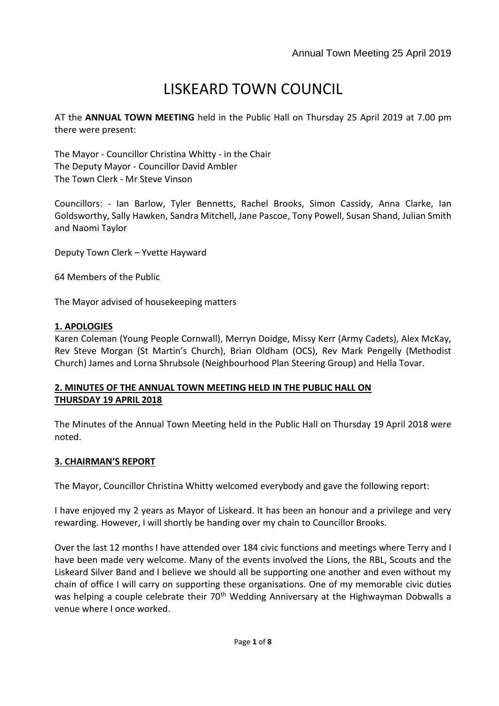# LISKEARD TOWN COUNCIL

AT the **ANNUAL TOWN MEETING** held in the Public Hall on Thursday 25 April 2019 at 7.00 pm there were present:

The Mayor - Councillor Christina Whitty - in the Chair The Deputy Mayor - Councillor David Ambler The Town Clerk - Mr Steve Vinson

Councillors: - Ian Barlow, Tyler Bennetts, Rachel Brooks, Simon Cassidy, Anna Clarke, Ian Goldsworthy, Sally Hawken, Sandra Mitchell, Jane Pascoe, Tony Powell, Susan Shand, Julian Smith and Naomi Taylor

Deputy Town Clerk – Yvette Hayward

64 Members of the Public

The Mayor advised of housekeeping matters

# **1. APOLOGIES**

Karen Coleman (Young People Cornwall), Merryn Doidge, Missy Kerr (Army Cadets), Alex McKay, Rev Steve Morgan (St Martin's Church), Brian Oldham (OCS), Rev Mark Pengelly (Methodist Church) James and Lorna Shrubsole (Neighbourhood Plan Steering Group) and Hella Tovar.

# **2. MINUTES OF THE ANNUAL TOWN MEETING HELD IN THE PUBLIC HALL ON THURSDAY 19 APRIL 2018**

The Minutes of the Annual Town Meeting held in the Public Hall on Thursday 19 April 2018 were noted.

# **3. CHAIRMAN'S REPORT**

The Mayor, Councillor Christina Whitty welcomed everybody and gave the following report:

I have enjoyed my 2 years as Mayor of Liskeard. It has been an honour and a privilege and very rewarding. However, I will shortly be handing over my chain to Councillor Brooks.

Over the last 12 months I have attended over 184 civic functions and meetings where Terry and I have been made very welcome. Many of the events involved the Lions, the RBL, Scouts and the Liskeard Silver Band and I believe we should all be supporting one another and even without my chain of office I will carry on supporting these organisations. One of my memorable civic duties was helping a couple celebrate their 70<sup>th</sup> Wedding Anniversary at the Highwayman Dobwalls a venue where I once worked.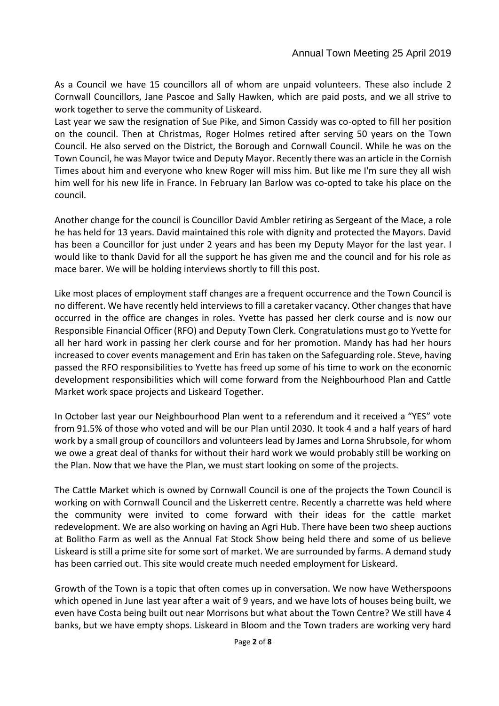As a Council we have 15 councillors all of whom are unpaid volunteers. These also include 2 Cornwall Councillors, Jane Pascoe and Sally Hawken, which are paid posts, and we all strive to work together to serve the community of Liskeard.

Last year we saw the resignation of Sue Pike, and Simon Cassidy was co-opted to fill her position on the council. Then at Christmas, Roger Holmes retired after serving 50 years on the Town Council. He also served on the District, the Borough and Cornwall Council. While he was on the Town Council, he was Mayor twice and Deputy Mayor. Recently there was an article in the Cornish Times about him and everyone who knew Roger will miss him. But like me I'm sure they all wish him well for his new life in France. In February Ian Barlow was co-opted to take his place on the council.

Another change for the council is Councillor David Ambler retiring as Sergeant of the Mace, a role he has held for 13 years. David maintained this role with dignity and protected the Mayors. David has been a Councillor for just under 2 years and has been my Deputy Mayor for the last year. I would like to thank David for all the support he has given me and the council and for his role as mace barer. We will be holding interviews shortly to fill this post.

Like most places of employment staff changes are a frequent occurrence and the Town Council is no different. We have recently held interviews to fill a caretaker vacancy. Other changes that have occurred in the office are changes in roles. Yvette has passed her clerk course and is now our Responsible Financial Officer (RFO) and Deputy Town Clerk. Congratulations must go to Yvette for all her hard work in passing her clerk course and for her promotion. Mandy has had her hours increased to cover events management and Erin has taken on the Safeguarding role. Steve, having passed the RFO responsibilities to Yvette has freed up some of his time to work on the economic development responsibilities which will come forward from the Neighbourhood Plan and Cattle Market work space projects and Liskeard Together.

In October last year our Neighbourhood Plan went to a referendum and it received a "YES" vote from 91.5% of those who voted and will be our Plan until 2030. It took 4 and a half years of hard work by a small group of councillors and volunteers lead by James and Lorna Shrubsole, for whom we owe a great deal of thanks for without their hard work we would probably still be working on the Plan. Now that we have the Plan, we must start looking on some of the projects.

The Cattle Market which is owned by Cornwall Council is one of the projects the Town Council is working on with Cornwall Council and the Liskerrett centre. Recently a charrette was held where the community were invited to come forward with their ideas for the cattle market redevelopment. We are also working on having an Agri Hub. There have been two sheep auctions at Bolitho Farm as well as the Annual Fat Stock Show being held there and some of us believe Liskeard is still a prime site for some sort of market. We are surrounded by farms. A demand study has been carried out. This site would create much needed employment for Liskeard.

Growth of the Town is a topic that often comes up in conversation. We now have Wetherspoons which opened in June last year after a wait of 9 years, and we have lots of houses being built, we even have Costa being built out near Morrisons but what about the Town Centre? We still have 4 banks, but we have empty shops. Liskeard in Bloom and the Town traders are working very hard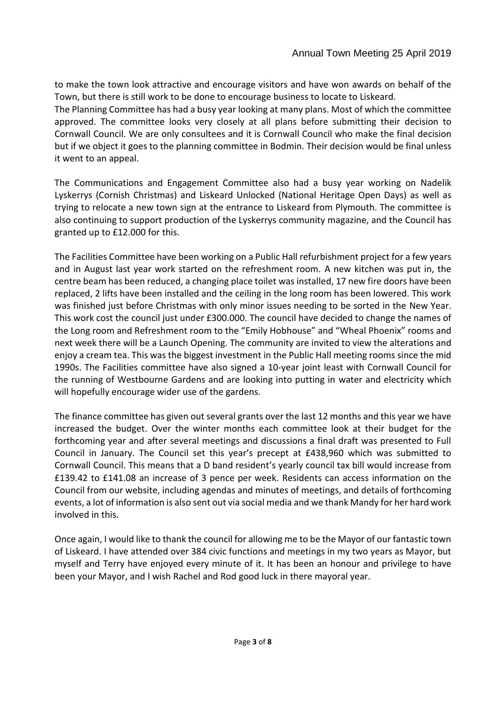to make the town look attractive and encourage visitors and have won awards on behalf of the Town, but there is still work to be done to encourage business to locate to Liskeard.

The Planning Committee has had a busy year looking at many plans. Most of which the committee approved. The committee looks very closely at all plans before submitting their decision to Cornwall Council. We are only consultees and it is Cornwall Council who make the final decision but if we object it goes to the planning committee in Bodmin. Their decision would be final unless it went to an appeal.

The Communications and Engagement Committee also had a busy year working on Nadelik Lyskerrys (Cornish Christmas) and Liskeard Unlocked (National Heritage Open Days) as well as trying to relocate a new town sign at the entrance to Liskeard from Plymouth. The committee is also continuing to support production of the Lyskerrys community magazine, and the Council has granted up to £12.000 for this.

The Facilities Committee have been working on a Public Hall refurbishment project for a few years and in August last year work started on the refreshment room. A new kitchen was put in, the centre beam has been reduced, a changing place toilet was installed, 17 new fire doors have been replaced, 2 lifts have been installed and the ceiling in the long room has been lowered. This work was finished just before Christmas with only minor issues needing to be sorted in the New Year. This work cost the council just under £300.000. The council have decided to change the names of the Long room and Refreshment room to the "Emily Hobhouse" and "Wheal Phoenix" rooms and next week there will be a Launch Opening. The community are invited to view the alterations and enjoy a cream tea. This was the biggest investment in the Public Hall meeting rooms since the mid 1990s. The Facilities committee have also signed a 10-year joint least with Cornwall Council for the running of Westbourne Gardens and are looking into putting in water and electricity which will hopefully encourage wider use of the gardens.

The finance committee has given out several grants over the last 12 months and this year we have increased the budget. Over the winter months each committee look at their budget for the forthcoming year and after several meetings and discussions a final draft was presented to Full Council in January. The Council set this year's precept at £438,960 which was submitted to Cornwall Council. This means that a D band resident's yearly council tax bill would increase from £139.42 to £141.08 an increase of 3 pence per week. Residents can access information on the Council from our website, including agendas and minutes of meetings, and details of forthcoming events, a lot of information is also sent out via social media and we thank Mandy for her hard work involved in this.

Once again, I would like to thank the council for allowing me to be the Mayor of our fantastic town of Liskeard. I have attended over 384 civic functions and meetings in my two years as Mayor, but myself and Terry have enjoyed every minute of it. It has been an honour and privilege to have been your Mayor, and I wish Rachel and Rod good luck in there mayoral year.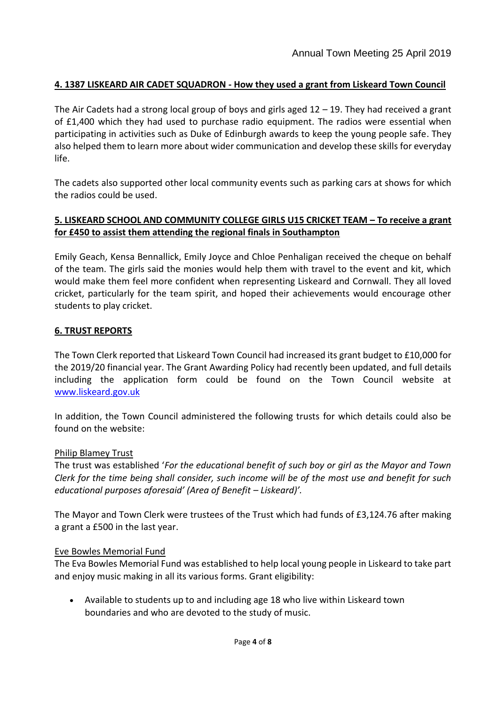# **4. 1387 LISKEARD AIR CADET SQUADRON - How they used a grant from Liskeard Town Council**

The Air Cadets had a strong local group of boys and girls aged 12 – 19. They had received a grant of £1,400 which they had used to purchase radio equipment. The radios were essential when participating in activities such as Duke of Edinburgh awards to keep the young people safe. They also helped them to learn more about wider communication and develop these skills for everyday life.

The cadets also supported other local community events such as parking cars at shows for which the radios could be used.

# **5. LISKEARD SCHOOL AND COMMUNITY COLLEGE GIRLS U15 CRICKET TEAM – To receive a grant for £450 to assist them attending the regional finals in Southampton**

Emily Geach, Kensa Bennallick, Emily Joyce and Chloe Penhaligan received the cheque on behalf of the team. The girls said the monies would help them with travel to the event and kit, which would make them feel more confident when representing Liskeard and Cornwall. They all loved cricket, particularly for the team spirit, and hoped their achievements would encourage other students to play cricket.

# **6. TRUST REPORTS**

The Town Clerk reported that Liskeard Town Council had increased its grant budget to £10,000 for the 2019/20 financial year. The Grant Awarding Policy had recently been updated, and full details including the application form could be found on the Town Council website at [www.liskeard.gov.uk](http://www.liskeard.gov.uk/)

In addition, the Town Council administered the following trusts for which details could also be found on the website:

### Philip Blamey Trust

The trust was established '*For the educational benefit of such boy or girl as the Mayor and Town Clerk for the time being shall consider, such income will be of the most use and benefit for such educational purposes aforesaid' (Area of Benefit – Liskeard)'.*

The Mayor and Town Clerk were trustees of the Trust which had funds of £3,124.76 after making a grant a £500 in the last year.

### Eve Bowles Memorial Fund

The Eva Bowles Memorial Fund was established to help local young people in Liskeard to take part and enjoy music making in all its various forms. Grant eligibility:

 Available to students up to and including age 18 who live within Liskeard town boundaries and who are devoted to the study of music.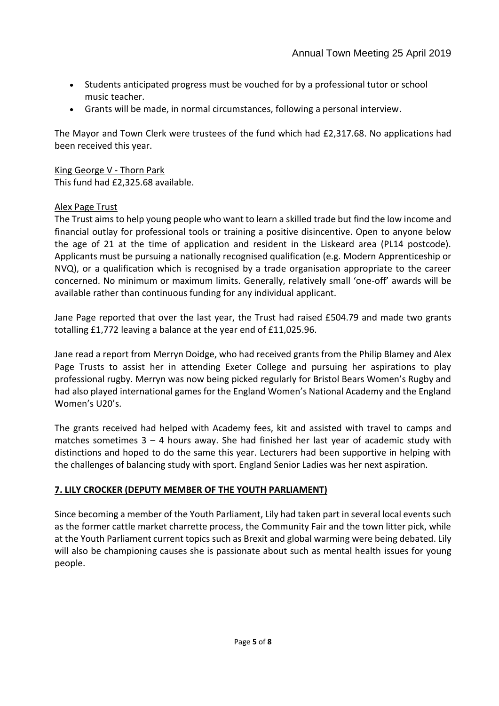- Students anticipated progress must be vouched for by a professional tutor or school music teacher.
- Grants will be made, in normal circumstances, following a personal interview.

The Mayor and Town Clerk were trustees of the fund which had £2,317.68. No applications had been received this year.

# King George V - Thorn Park

This fund had £2,325.68 available.

# Alex Page Trust

The Trust aims to help young people who want to learn a skilled trade but find the low income and financial outlay for professional tools or training a positive disincentive. Open to anyone below the age of 21 at the time of application and resident in the Liskeard area (PL14 postcode). Applicants must be pursuing a nationally recognised qualification (e.g. Modern Apprenticeship or NVQ), or a qualification which is recognised by a trade organisation appropriate to the career concerned. No minimum or maximum limits. Generally, relatively small 'one-off' awards will be available rather than continuous funding for any individual applicant.

Jane Page reported that over the last year, the Trust had raised £504.79 and made two grants totalling £1,772 leaving a balance at the year end of £11,025.96.

Jane read a report from Merryn Doidge, who had received grants from the Philip Blamey and Alex Page Trusts to assist her in attending Exeter College and pursuing her aspirations to play professional rugby. Merryn was now being picked regularly for Bristol Bears Women's Rugby and had also played international games for the England Women's National Academy and the England Women's U20's.

The grants received had helped with Academy fees, kit and assisted with travel to camps and matches sometimes  $3 - 4$  hours away. She had finished her last year of academic study with distinctions and hoped to do the same this year. Lecturers had been supportive in helping with the challenges of balancing study with sport. England Senior Ladies was her next aspiration.

# **7. LILY CROCKER (DEPUTY MEMBER OF THE YOUTH PARLIAMENT)**

Since becoming a member of the Youth Parliament, Lily had taken part in several local events such as the former cattle market charrette process, the Community Fair and the town litter pick, while at the Youth Parliament current topics such as Brexit and global warming were being debated. Lily will also be championing causes she is passionate about such as mental health issues for young people.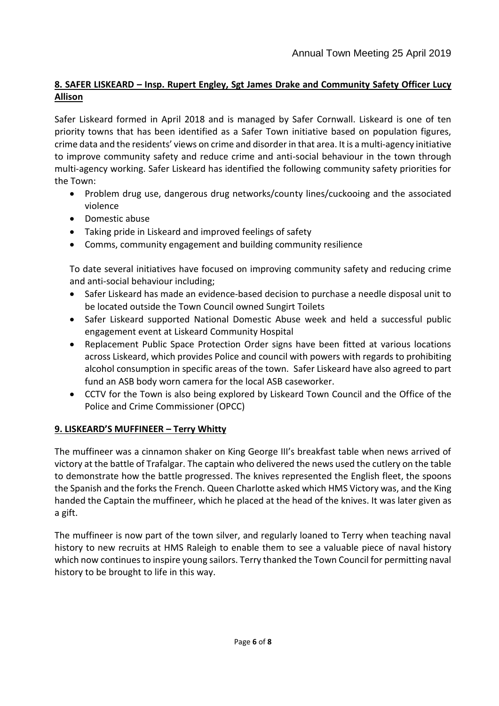# **8. SAFER LISKEARD – Insp. Rupert Engley, Sgt James Drake and Community Safety Officer Lucy Allison**

Safer Liskeard formed in April 2018 and is managed by Safer Cornwall. Liskeard is one of ten priority towns that has been identified as a Safer Town initiative based on population figures, crime data and the residents' views on crime and disorder in that area. It is a multi-agency initiative to improve community safety and reduce crime and anti-social behaviour in the town through multi-agency working. Safer Liskeard has identified the following community safety priorities for the Town:

- Problem drug use, dangerous drug networks/county lines/cuckooing and the associated violence
- Domestic abuse
- Taking pride in Liskeard and improved feelings of safety
- Comms, community engagement and building community resilience

To date several initiatives have focused on improving community safety and reducing crime and anti-social behaviour including;

- Safer Liskeard has made an evidence-based decision to purchase a needle disposal unit to be located outside the Town Council owned Sungirt Toilets
- Safer Liskeard supported National Domestic Abuse week and held a successful public engagement event at Liskeard Community Hospital
- Replacement Public Space Protection Order signs have been fitted at various locations across Liskeard, which provides Police and council with powers with regards to prohibiting alcohol consumption in specific areas of the town. Safer Liskeard have also agreed to part fund an ASB body worn camera for the local ASB caseworker.
- CCTV for the Town is also being explored by Liskeard Town Council and the Office of the Police and Crime Commissioner (OPCC)

# **9. LISKEARD'S MUFFINEER – Terry Whitty**

The muffineer was a cinnamon shaker on King George III's breakfast table when news arrived of victory at the battle of Trafalgar. The captain who delivered the news used the cutlery on the table to demonstrate how the battle progressed. The knives represented the English fleet, the spoons the Spanish and the forks the French. Queen Charlotte asked which HMS Victory was, and the King handed the Captain the muffineer, which he placed at the head of the knives. It was later given as a gift.

The muffineer is now part of the town silver, and regularly loaned to Terry when teaching naval history to new recruits at HMS Raleigh to enable them to see a valuable piece of naval history which now continues to inspire young sailors. Terry thanked the Town Council for permitting naval history to be brought to life in this way.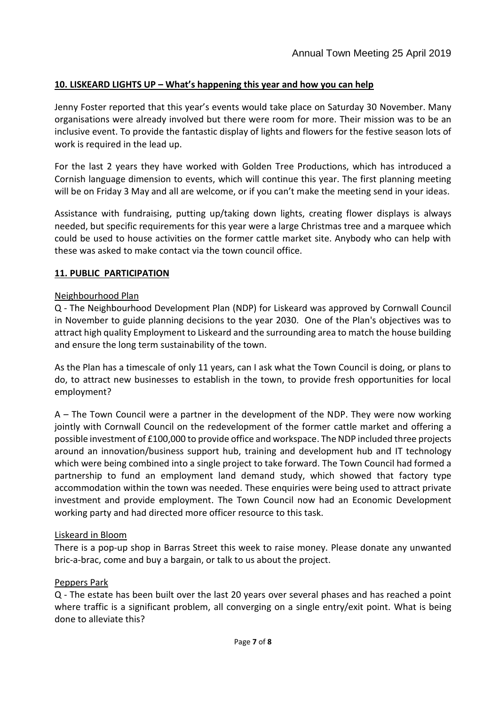# **10. LISKEARD LIGHTS UP – What's happening this year and how you can help**

Jenny Foster reported that this year's events would take place on Saturday 30 November. Many organisations were already involved but there were room for more. Their mission was to be an inclusive event. To provide the fantastic display of lights and flowers for the festive season lots of work is required in the lead up.

For the last 2 years they have worked with Golden Tree Productions, which has introduced a Cornish language dimension to events, which will continue this year. The first planning meeting will be on Friday 3 May and all are welcome, or if you can't make the meeting send in your ideas.

Assistance with fundraising, putting up/taking down lights, creating flower displays is always needed, but specific requirements for this year were a large Christmas tree and a marquee which could be used to house activities on the former cattle market site. Anybody who can help with these was asked to make contact via the town council office.

# **11. PUBLIC PARTICIPATION**

# Neighbourhood Plan

Q - The Neighbourhood Development Plan (NDP) for Liskeard was approved by Cornwall Council in November to guide planning decisions to the year 2030. One of the Plan's objectives was to attract high quality Employment to Liskeard and the surrounding area to match the house building and ensure the long term sustainability of the town.

As the Plan has a timescale of only 11 years, can I ask what the Town Council is doing, or plans to do, to attract new businesses to establish in the town, to provide fresh opportunities for local employment?

A – The Town Council were a partner in the development of the NDP. They were now working jointly with Cornwall Council on the redevelopment of the former cattle market and offering a possible investment of £100,000 to provide office and workspace. The NDP included three projects around an innovation/business support hub, training and development hub and IT technology which were being combined into a single project to take forward. The Town Council had formed a partnership to fund an employment land demand study, which showed that factory type accommodation within the town was needed. These enquiries were being used to attract private investment and provide employment. The Town Council now had an Economic Development working party and had directed more officer resource to this task.

### Liskeard in Bloom

There is a pop-up shop in Barras Street this week to raise money. Please donate any unwanted bric-a-brac, come and buy a bargain, or talk to us about the project.

### Peppers Park

Q - The estate has been built over the last 20 years over several phases and has reached a point where traffic is a significant problem, all converging on a single entry/exit point. What is being done to alleviate this?